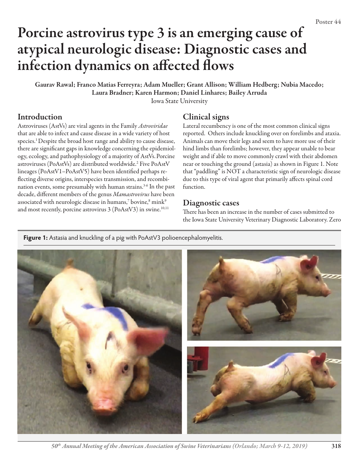# Porcine astrovirus type 3 is an emerging cause of atypical neurologic disease: Diagnostic cases and infection dynamics on affected flows

Gaurav Rawal; Franco Matias Ferreyra; Adam Mueller; Grant Allison; William Hedberg; Nubia Macedo; Laura Bradner; Karen Harmon; Daniel Linhares; Bailey Arruda Iowa State University

## **Introduction**

Astroviruses (AstVs) are viral agents in the Family *Astroviridae* that are able to infect and cause disease in a wide variety of host species.<sup>1</sup> Despite the broad host range and ability to cause disease, there are significant gaps in knowledge concerning the epidemiology, ecology, and pathophysiology of a majority of AstVs.Porcine astroviruses (PoAstVs) are distributed worldwide.2 Five PoAstV lineages (PoAstV1–PoAstV5) have been identified perhaps reflecting diverse origins, interspecies transmission, and recombination events, some presumably with human strains.<sup>3-6</sup> In the past decade, different members of the genus *Mamastrovirus* have been associated with neurologic disease in humans, $^7$  bovine, $^8$  mink $^9$ and most recently, porcine astrovirus  $3 (Po AstV3)$  in swine.<sup>10,11</sup>

## Clinical signs

Lateral recumbency is one of the most common clinical signs reported. Others include knuckling over on forelimbs and ataxia. Animals can move their legs and seem to have more use of their hind limbs than forelimbs; however, they appear unable to bear weight and if able to move commonly crawl with their abdomen near or touching the ground (astasia) as shown in Figure 1. Note that "paddling" is NOT a characteristic sign of neurologic disease due to this type of viral agent that primarily affects spinal cord function.

### Diagnostic cases

There has been an increase in the number of cases submitted to the Iowa State University Veterinary Diagnostic Laboratory. Zero

**Figure 1:** Astasia and knuckling of a pig with PoAstV3 polioencephalomyelitis.



*50th Annual Meeting of the American Association of Swine Veterinarians (Orlando; March 9-12, 2019)* 318